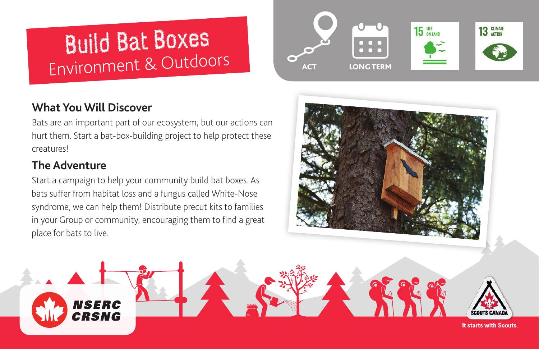# Build Bat Boxes Environment & Outdoors

# **What You Will Discover**

Bats are an important part of our ecosystem, but our actions can hurt them. Start a bat-box-building project to help protect these creatures!

# **The Adventure**

Start a campaign to help your community build bat boxes. As bats suffer from habitat loss and a fungus called White-Nose syndrome, we can help them! Distribute precut kits to families in your Group or community, encouraging them to find a great place for bats to live.







**It starts with Scouts.**